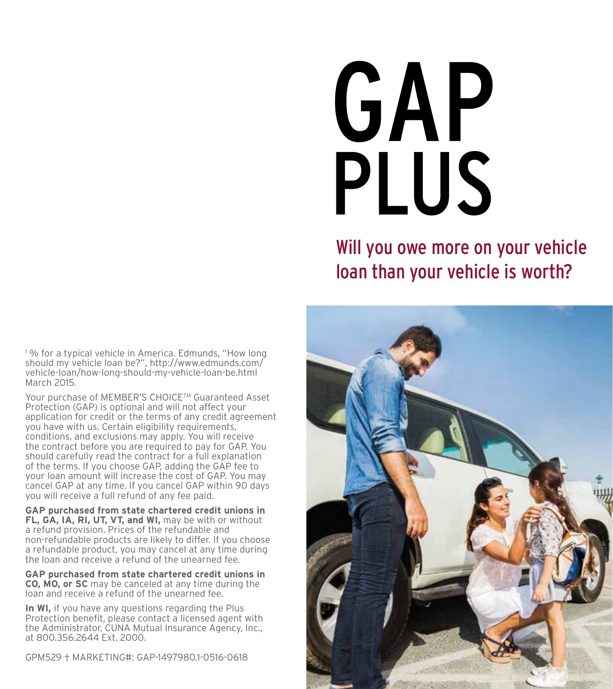# GAP PLUS

#### Will you owe more on your vehicle loan than your vehicle is worth?

<sup>1</sup>% for a typical vehicle in America. Edmunds, "How long should my vehicle loan be?", http://www.edmunds.com/ vehicle-loan/how-long-should-my-vehicle-loan-be.html March 2015.

Your purchase of MEMBER'S CHOICE™ Guaranteed Asset Protection (GAP) is optional and will not affect your application for credit or the terms of any credit agreement you have with us. Certain eligibility requirements, conditions, and exclusions may apply. You will receive the contract before you are required to pay for GAP. You should carefully read the contract for a full explanation of the terms. If you choose GAP, adding the GAP fee to your loan amount will increase the cost of GAP. You may cancel GAP at any time. If you cancel GAP within 90 days you will receive a full refund of any fee paid.

**GAP purchased from state chartered credit unions in FL, GA, IA, RI, UT, VT, and WI,** may be with or without a refund provision. Prices of the refundable and non-refundable products are likely to differ. If you choose a refundable product, you may cancel at any time during the loan and receive a refund of the unearned fee.

**GAP purchased from state chartered credit unions in CO, MO, or SC** may be canceled at any time during the loan and receive a refund of the unearned fee.

**In WI,** if you have any questions regarding the Plus Protection benefit, please contact a licensed agent with the Administrator, CUNA Mutual Insurance Agency, Inc., at 800.356.2644 Ext. 2000.

GPM529 † MARKETING#: GAP-1497980.1-0516-0618